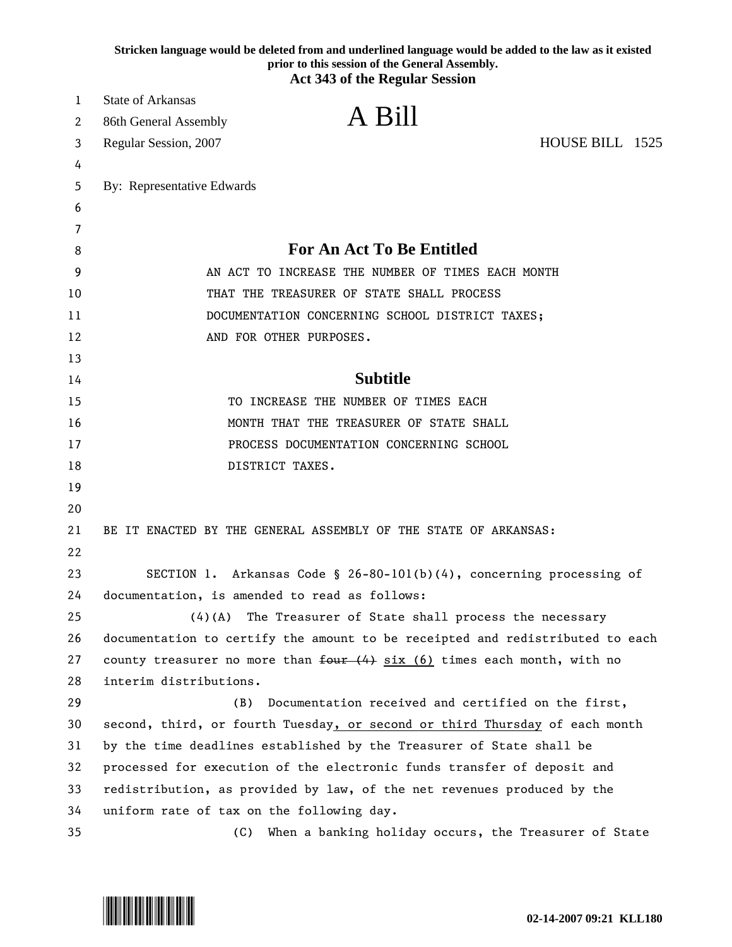|    | Stricken language would be deleted from and underlined language would be added to the law as it existed<br>prior to this session of the General Assembly.<br><b>Act 343 of the Regular Session</b> |  |
|----|----------------------------------------------------------------------------------------------------------------------------------------------------------------------------------------------------|--|
| 1  | <b>State of Arkansas</b>                                                                                                                                                                           |  |
| 2  | A Bill<br>86th General Assembly                                                                                                                                                                    |  |
| 3  | HOUSE BILL 1525<br>Regular Session, 2007                                                                                                                                                           |  |
| 4  |                                                                                                                                                                                                    |  |
| 5  | By: Representative Edwards                                                                                                                                                                         |  |
| 6  |                                                                                                                                                                                                    |  |
| 7  |                                                                                                                                                                                                    |  |
| 8  | <b>For An Act To Be Entitled</b>                                                                                                                                                                   |  |
| 9  | AN ACT TO INCREASE THE NUMBER OF TIMES EACH MONTH                                                                                                                                                  |  |
| 10 | THAT THE TREASURER OF STATE SHALL PROCESS                                                                                                                                                          |  |
| 11 | DOCUMENTATION CONCERNING SCHOOL DISTRICT TAXES;                                                                                                                                                    |  |
| 12 | AND FOR OTHER PURPOSES.                                                                                                                                                                            |  |
| 13 |                                                                                                                                                                                                    |  |
| 14 | <b>Subtitle</b>                                                                                                                                                                                    |  |
| 15 | TO INCREASE THE NUMBER OF TIMES EACH                                                                                                                                                               |  |
| 16 | MONTH THAT THE TREASURER OF STATE SHALL                                                                                                                                                            |  |
| 17 | PROCESS DOCUMENTATION CONCERNING SCHOOL                                                                                                                                                            |  |
| 18 | DISTRICT TAXES.                                                                                                                                                                                    |  |
| 19 |                                                                                                                                                                                                    |  |
| 20 |                                                                                                                                                                                                    |  |
| 21 | BE IT ENACTED BY THE GENERAL ASSEMBLY OF THE STATE OF ARKANSAS:                                                                                                                                    |  |
| 22 |                                                                                                                                                                                                    |  |
| 23 | SECTION 1. Arkansas Code § 26-80-101(b)(4), concerning processing of                                                                                                                               |  |
| 24 | documentation, is amended to read as follows:                                                                                                                                                      |  |
| 25 | $(4)$ (A) The Treasurer of State shall process the necessary                                                                                                                                       |  |
| 26 | documentation to certify the amount to be receipted and redistributed to each                                                                                                                      |  |
| 27 | county treasurer no more than $f_{\text{out}}(4)$ six (6) times each month, with no                                                                                                                |  |
| 28 | interim distributions.                                                                                                                                                                             |  |
| 29 | (B)<br>Documentation received and certified on the first,                                                                                                                                          |  |
| 30 | second, third, or fourth Tuesday, or second or third Thursday of each month                                                                                                                        |  |
| 31 | by the time deadlines established by the Treasurer of State shall be                                                                                                                               |  |
| 32 | processed for execution of the electronic funds transfer of deposit and                                                                                                                            |  |
| 33 | redistribution, as provided by law, of the net revenues produced by the                                                                                                                            |  |
| 34 | uniform rate of tax on the following day.                                                                                                                                                          |  |
| 35 | When a banking holiday occurs, the Treasurer of State<br>(C)                                                                                                                                       |  |